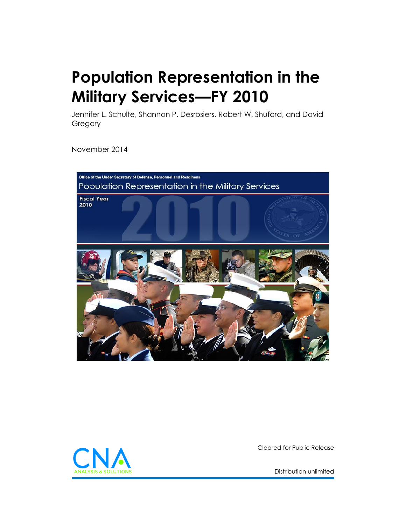# <span id="page-0-0"></span>**Population Representation in the Military Services—FY 2010**

Jennifer L. Schulte, Shannon P. Desrosiers, Robert W. Shuford, and David **Gregory** 

November 2014





Cleared for Public Release

[Distribution unlimited](#page-1-0)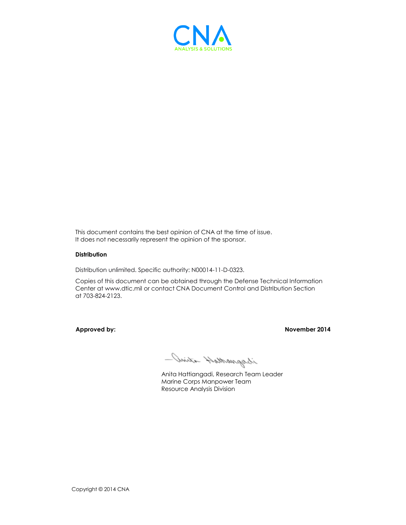

This document contains the best opinion of CNA at the time of issue. It does not necessarily represent the opinion of the sponsor.

### **Distribution**

<span id="page-1-0"></span>Distribution unlimited. Specific authority: N00014-11-D-0323.

Copies of this document can be obtained through the Defense Technical Information Center at www.dtic.mil or contact CNA Document Control and Distribution Section at 703-824-2123.

**Approved by: November 2014**

- Juirta Hathangasi

Anita Hattiangadi, Research Team Leader Marine Corps Manpower Team Resource Analysis Division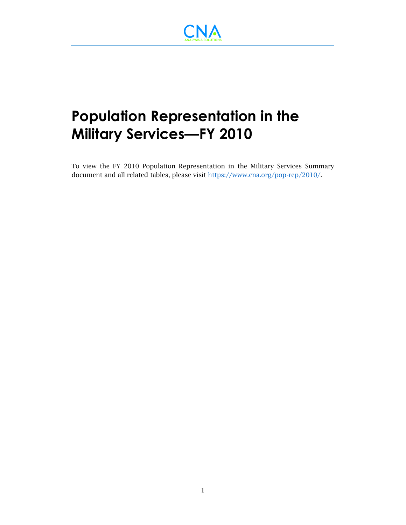

## **Population Representation in the Military Services—FY 2010**

To view the FY 2010 Population Representation in the Military Services Summary document and all related tables, please visit [https://www.cna.org/pop-rep/2010/.](https://www.cna.org/pop-rep/2010/)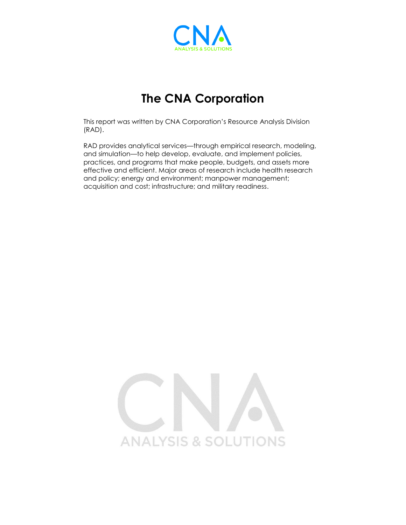

### **The CNA Corporation**

This report was written by CNA Corporation's Resource Analysis Division (RAD).

RAD provides analytical services—through empirical research, modeling, and simulation—to help develop, evaluate, and implement policies, practices, and programs that make people, budgets, and assets more effective and efficient. Major areas of research include health research and policy; energy and environment; manpower management; acquisition and cost; infrastructure; and military readiness.